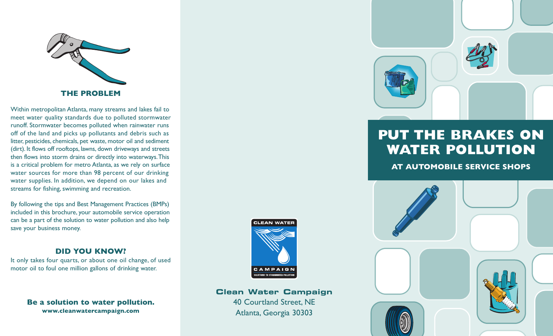

Within metropolitan Atlanta, many streams and lakes fail to meet water quality standards due to polluted stormwater runoff. Stormwater becomes polluted when rainwater runs off of the land and picks up pollutants and debris such as litter, pesticides, chemicals, pet waste, motor oil and sediment (dirt). It flows off rooftops, lawns, down driveways and streets then flows into storm drains or directly into waterways.This is a critical problem for metro Atlanta, as we rely on surface water sources for more than 98 percent of our drinking water supplies. In addition, we depend on our lakes and streams for fishing, swimming and recreation.

By following the tips and Best Management Practices (BMPs) included in this brochure, your automobile service operation can be a part of the solution to water pollution and also help save your business money.

## **DID YOU KNOW?**

It only takes four quarts, or about one oil change, of used motor oil to foul one million gallons of drinking water.

> **Be a solution to water pollution. www.cleanwatercampaign.com**



# **Clean Water Campaign**

40 Courtland Street, NE Atlanta, Georgia 30303



# **PUT THE BRAKES ON WATER POLLUTION**

**AT AUTOMOBILE SERVICE SHOPS**